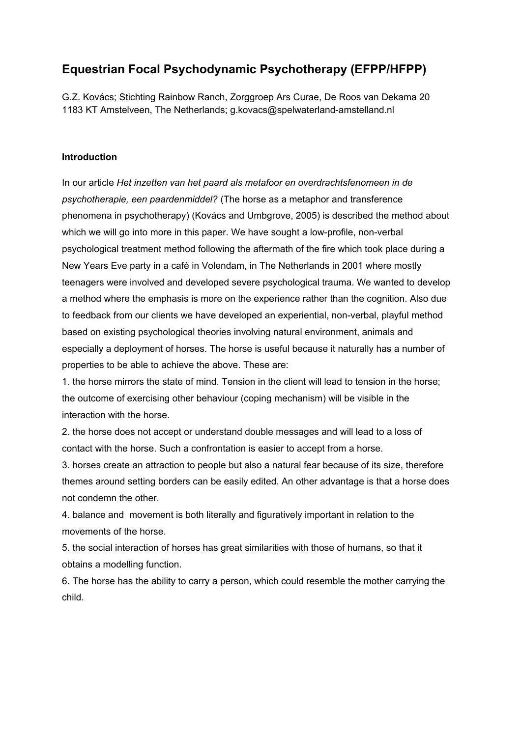# **Equestrian Focal Psychodynamic Psychotherapy (EFPP/HFPP)**

G.Z. Kovács; Stichting Rainbow Ranch, Zorggroep Ars Curae, De Roos van Dekama 20 1183 KT Amstelveen, The Netherlands; g.kovacs@spelwaterland-amstelland.nl

#### **Introduction**

In our article *Het inzetten van het paard als metafoor en overdrachtsfenomeen in de psychotherapie, een paardenmiddel?* (The horse as a metaphor and transference phenomena in psychotherapy) (Kovács and Umbgrove, 2005) is described the method about which we will go into more in this paper. We have sought a low-profile, non-verbal psychological treatment method following the aftermath of the fire which took place during a New Years Eve party in a café in Volendam, in The Netherlands in 2001 where mostly teenagers were involved and developed severe psychological trauma. We wanted to develop a method where the emphasis is more on the experience rather than the cognition. Also due to feedback from our clients we have developed an experiential, non-verbal, playful method based on existing psychological theories involving natural environment, animals and especially a deployment of horses. The horse is useful because it naturally has a number of properties to be able to achieve the above. These are:

1. the horse mirrors the state of mind. Tension in the client will lead to tension in the horse; the outcome of exercising other behaviour (coping mechanism) will be visible in the interaction with the horse.

2. the horse does not accept or understand double messages and will lead to a loss of contact with the horse. Such a confrontation is easier to accept from a horse.

3. horses create an attraction to people but also a natural fear because of its size, therefore themes around setting borders can be easily edited. An other advantage is that a horse does not condemn the other.

4. balance and movement is both literally and figuratively important in relation to the movements of the horse.

5. the social interaction of horses has great similarities with those of humans, so that it obtains a modelling function.

6. The horse has the ability to carry a person, which could resemble the mother carrying the child.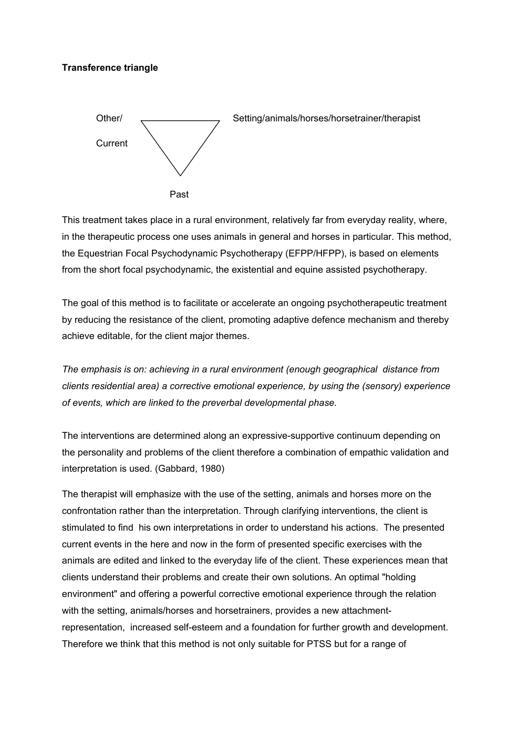#### **Transference triangle**



This treatment takes place in a rural environment, relatively far from everyday reality, where, in the therapeutic process one uses animals in general and horses in particular. This method, the Equestrian Focal Psychodynamic Psychotherapy (EFPP/HFPP), is based on elements from the short focal psychodynamic, the existential and equine assisted psychotherapy.

The goal of this method is to facilitate or accelerate an ongoing psychotherapeutic treatment by reducing the resistance of the client, promoting adaptive defence mechanism and thereby achieve editable, for the client major themes.

*The emphasis is on: achieving in a rural environment (enough geographical distance from clients residential area) a corrective emotional experience, by using the (sensory) experience of events, which are linked to the preverbal developmental phase.*

The interventions are determined along an expressive-supportive continuum depending on the personality and problems of the client therefore a combination of empathic validation and interpretation is used. (Gabbard, 1980)

The therapist will emphasize with the use of the setting, animals and horses more on the confrontation rather than the interpretation. Through clarifying interventions, the client is stimulated to find his own interpretations in order to understand his actions. The presented current events in the here and now in the form of presented specific exercises with the animals are edited and linked to the everyday life of the client. These experiences mean that clients understand their problems and create their own solutions. An optimal "holding environment" and offering a powerful corrective emotional experience through the relation with the setting, animals/horses and horsetrainers, provides a new attachmentrepresentation, increased self-esteem and a foundation for further growth and development. Therefore we think that this method is not only suitable for PTSS but for a range of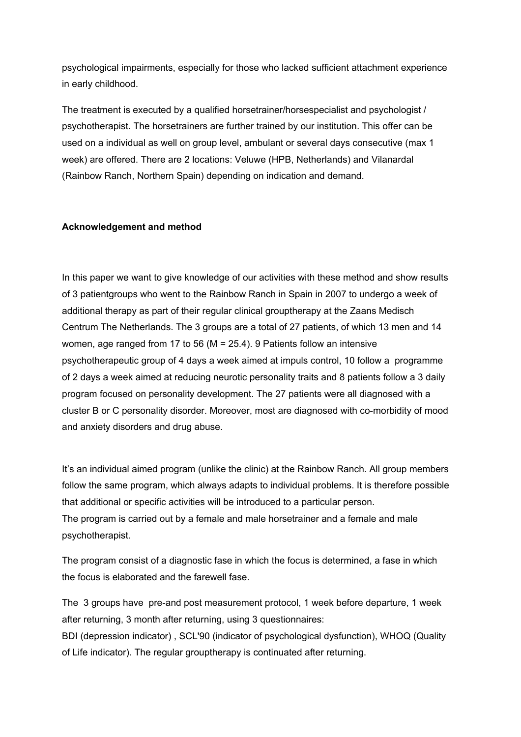psychological impairments, especially for those who lacked sufficient attachment experience in early childhood.

The treatment is executed by a qualified horsetrainer/horsespecialist and psychologist / psychotherapist. The horsetrainers are further trained by our institution. This offer can be used on a individual as well on group level, ambulant or several days consecutive (max 1 week) are offered. There are 2 locations: Veluwe (HPB, Netherlands) and Vilanardal (Rainbow Ranch, Northern Spain) depending on indication and demand.

#### **Acknowledgement and method**

In this paper we want to give knowledge of our activities with these method and show results of 3 patientgroups who went to the Rainbow Ranch in Spain in 2007 to undergo a week of additional therapy as part of their regular clinical grouptherapy at the Zaans Medisch Centrum The Netherlands. The 3 groups are a total of 27 patients, of which 13 men and 14 women, age ranged from 17 to 56 (M = 25.4). 9 Patients follow an intensive psychotherapeutic group of 4 days a week aimed at impuls control, 10 follow a programme of 2 days a week aimed at reducing neurotic personality traits and 8 patients follow a 3 daily program focused on personality development. The 27 patients were all diagnosed with a cluster B or C personality disorder. Moreover, most are diagnosed with co-morbidity of mood and anxiety disorders and drug abuse.

It's an individual aimed program (unlike the clinic) at the Rainbow Ranch. All group members follow the same program, which always adapts to individual problems. It is therefore possible that additional or specific activities will be introduced to a particular person. The program is carried out by a female and male horsetrainer and a female and male psychotherapist.

The program consist of a diagnostic fase in which the focus is determined, a fase in which the focus is elaborated and the farewell fase.

The 3 groups have pre-and post measurement protocol, 1 week before departure, 1 week after returning, 3 month after returning, using 3 questionnaires:

BDI (depression indicator) , SCL'90 (indicator of psychological dysfunction), WHOQ (Quality of Life indicator). The regular grouptherapy is continuated after returning.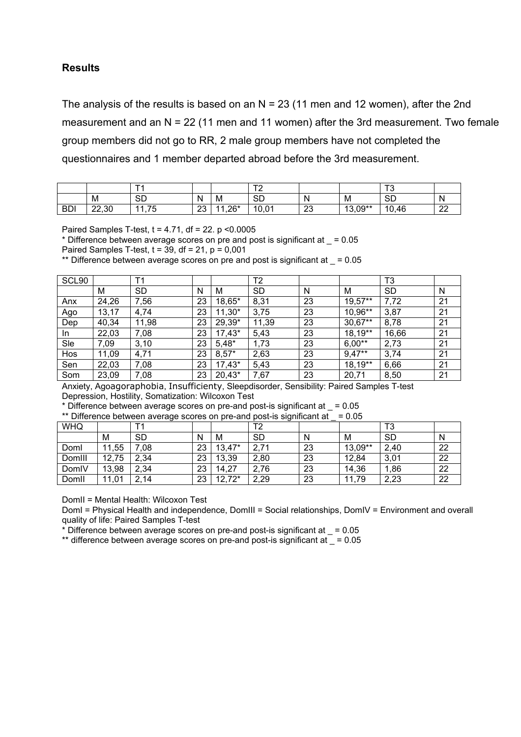### **Results**

The analysis of the results is based on an  $N = 23$  (11 men and 12 women), after the 2nd measurement and an N = 22 (11 men and 11 women) after the 3rd measurement. Two female group members did not go to RR, 2 male group members have not completed the questionnaires and 1 member departed abroad before the 3rd measurement.

|            |       | <u>т.</u>       |          |        | $T^{\sim}$ |          |                   | $\mathbf{r}$ |                     |
|------------|-------|-----------------|----------|--------|------------|----------|-------------------|--------------|---------------------|
|            | M     | 0D<br>◡         | N<br>. . | M      | <b>SD</b>  | N        | M                 | $\sim$<br>שכ | N                   |
| <b>BDI</b> | 22,30 | 75<br>44<br>ں ، | ററ<br>∠◡ | $.26*$ | 10,01      | ററ<br>ںے | $.3,09***$<br>12. | 10.46        | $\sim$<br><u>__</u> |

Paired Samples T-test, t = 4.71, df = 22. p <0.0005

 $*$  Difference between average scores on pre and post is significant at  $= 0.05$ 

Paired Samples T-test,  $t = 39$ ,  $df = 21$ ,  $p = 0.001$ 

\*\* Difference between average scores on pre and post is significant at  $= 0.05$ 

| SCL <sub>90</sub> |       | Τ1        |    |          | T2    |    |           | T <sub>3</sub> |    |
|-------------------|-------|-----------|----|----------|-------|----|-----------|----------------|----|
|                   | М     | <b>SD</b> | Ν  | M        | SD    | N  | M         | SD             | N  |
| Anx               | 24,26 | 7,56      | 23 | 18,65*   | 8,31  | 23 | $19,57**$ | 7,72           | 21 |
| Ago               | 13,17 | 4,74      | 23 | $11,30*$ | 3,75  | 23 | 10,96**   | 3,87           | 21 |
| Dep               | 40,34 | 11,98     | 23 | 29,39*   | 11,39 | 23 | 30,67**   | 8,78           | 21 |
| In.               | 22,03 | 7,08      | 23 | $17,43*$ | 5,43  | 23 | $18,19**$ | 16,66          | 21 |
| Sle               | 7,09  | 3,10      | 23 | $5,48*$  | 1,73  | 23 | $6,00**$  | 2,73           | 21 |
| Hos               | 11,09 | 4,71      | 23 | $8,57*$  | 2,63  | 23 | $9,47**$  | 3,74           | 21 |
| Sen               | 22,03 | 7,08      | 23 | $17,43*$ | 5,43  | 23 | 18,19**   | 6,66           | 21 |
| Som               | 23,09 | 7,08      | 23 | $20,43*$ | 7,67  | 23 | 20,71     | 8,50           | 21 |

Anxiety, Agoagoraphobia, Insufficienty, Sleepdisorder, Sensibility: Paired Samples T-test Depression, Hostility, Somatization: Wilcoxon Test

 $*$  Difference between average scores on pre-and post-is significant at  $=$  = 0.05

\*\* Difference between average scores on pre-and post-is significant at  $= 0.05$ 

| <u>Director between a relage ecoled on pro and pool is significant at</u><br> |       |           |    |          |           |    |         |           |    |
|-------------------------------------------------------------------------------|-------|-----------|----|----------|-----------|----|---------|-----------|----|
| <b>WHQ</b>                                                                    |       |           |    |          | T2        |    |         | ౹ఎ        |    |
|                                                                               | М     | <b>SD</b> | N  | M        | <b>SD</b> | N  | M       | <b>SD</b> |    |
| Doml                                                                          | 11,55 | .08       | 23 | $13,47*$ | 2,71      | 23 | 13,09** | 2,40      | 22 |
| Domill                                                                        | 12,75 | 2,34      | 23 | 13,39    | 2,80      | 23 | 12,84   | 3,01      | 22 |
| DomlV                                                                         | 13,98 | 2,34      | 23 | 14,27    | 2,76      | 23 | 14,36   | ,86       | 22 |
| Domll                                                                         | 11,01 | 2,14      | 23 | $12,72*$ | 2,29      | 23 | 11,79   | 2,23      | 22 |

DomII = Mental Health: Wilcoxon Test

DomI = Physical Health and independence, DomIII = Social relationships, DomIV = Environment and overall quality of life: Paired Samples T-test

 $*$  Difference between average scores on pre-and post-is significant at  $= 0.05$ 

\*\* difference between average scores on pre-and post-is significant at  $=$  = 0.05